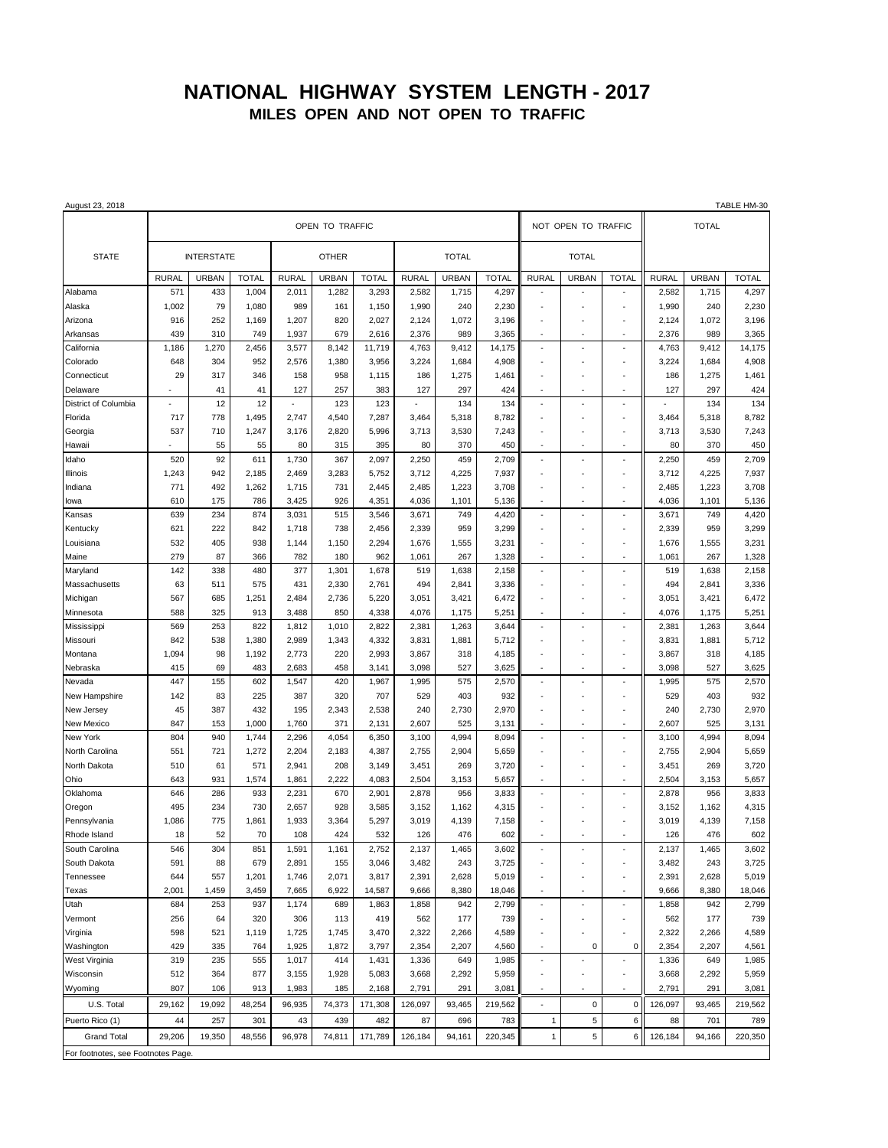## **NATIONAL HIGHWAY SYSTEM LENGTH - 2017 MILES OPEN AND NOT OPEN TO TRAFFIC**

| August 23, 2018                    |                   |              |              |              |              |              |              |              |              |                     |                |                      |              |              | TABLE HM-30  |
|------------------------------------|-------------------|--------------|--------------|--------------|--------------|--------------|--------------|--------------|--------------|---------------------|----------------|----------------------|--------------|--------------|--------------|
|                                    | OPEN TO TRAFFIC   |              |              |              |              |              |              |              |              | NOT OPEN TO TRAFFIC |                |                      |              | <b>TOTAL</b> |              |
| <b>STATE</b>                       | <b>INTERSTATE</b> |              |              | <b>OTHER</b> |              |              | <b>TOTAL</b> |              |              | <b>TOTAL</b>        |                |                      |              |              |              |
|                                    | <b>RURAL</b>      | <b>URBAN</b> | <b>TOTAL</b> | <b>RURAL</b> | <b>URBAN</b> | <b>TOTAL</b> | <b>RURAL</b> | <b>URBAN</b> | <b>TOTAL</b> | <b>RURAL</b>        | <b>URBAN</b>   | <b>TOTAL</b>         | <b>RURAL</b> | <b>URBAN</b> | <b>TOTAL</b> |
| Alabama                            | 571               | 433          | 1,004        | 2,011        | 1,282        | 3,293        | 2,582        | 1,715        | 4,297        |                     |                |                      | 2,582        | 1,715        | 4,297        |
| Alaska                             | 1,002             | 79           | 1,080        | 989          | 161          | 1,150        | 1,990        | 240          | 2,230        | ×                   |                | ä,                   | 1,990        | 240          | 2,230        |
| Arizona                            | 916               | 252          | 1,169        | 1,207        | 820          | 2,027        | 2,124        | 1,072        | 3,196        |                     |                | ÷,                   | 2,124        | 1,072        | 3,196        |
| Arkansas                           | 439               | 310          | 749          | 1,937        | 679          | 2,616        | 2,376        | 989          | 3,365        |                     |                | $\sim$               | 2,376        | 989          | 3,365        |
| California                         | 1,186             | 1,270        | 2,456        | 3,577        | 8,142        | 11,719       | 4,763        | 9,412        | 14,175       | $\sim$              |                | ×,                   | 4,763        | 9,412        | 14,175       |
| Colorado                           | 648               | 304          | 952          | 2,576        | 1,380        | 3,956        | 3,224        | 1,684        | 4,908        |                     |                | ÷,                   | 3,224        | 1,684        | 4,908        |
| Connecticut                        | 29                | 317          | 346          | 158          | 958          | 1,115        | 186          | 1,275        | 1,461        |                     |                | ä,                   | 186          | 1,275        | 1,461        |
| Delaware                           |                   | 41           | 41           | 127          | 257          | 383          | 127          | 297          | 424          |                     |                |                      | 127          | 297          | 424          |
| District of Columbia               |                   | 12           | 12           |              | 123          | 123          |              | 134          | 134          |                     |                |                      |              | 134          | 134          |
| Florida                            | 717               | 778          | 1,495        | 2,747        | 4,540        | 7,287        | 3,464        | 5,318        | 8,782        |                     |                | ÷                    | 3,464        | 5,318        | 8,782        |
| Georgia                            | 537               | 710          | 1,247        | 3,176        | 2,820        | 5,996        | 3,713        | 3,530        | 7,243        |                     |                |                      | 3,713        | 3,530        | 7,243        |
| Hawaii                             |                   | 55           | 55           | 80           | 315          | 395          | 80           | 370          | 450          |                     |                | ÷,                   | 80           | 370          | 450          |
| Idaho                              | 520               | 92           | 611          | 1,730        | 367          | 2,097        | 2,250        | 459          | 2,709        |                     |                |                      | 2,250        | 459          | 2,709        |
| Illinois                           | 1,243             | 942          | 2,185        | 2,469        | 3,283        | 5,752        | 3,712        | 4,225        | 7,937        |                     |                |                      | 3,712        | 4,225        | 7,937        |
| Indiana                            | 771               | 492          | 1,262        | 1,715        | 731          | 2,445        | 2,485        | 1,223        | 3,708        |                     |                | ٠                    | 2,485        | 1,223        | 3,708        |
| lowa                               | 610               | 175          | 786          | 3,425        | 926          | 4,351        | 4,036        | 1,101        | 5,136        | ÷,                  |                |                      | 4,036        | 1,101        | 5,136        |
| Kansas                             | 639               | 234          | 874          | 3,031        | 515          | 3,546        | 3,671        | 749          | 4,420        | ÷.                  | $\overline{a}$ | ÷.                   | 3,671        | 749          | 4,420        |
| Kentucky                           | 621               | 222          | 842          | 1,718        | 738          | 2,456        | 2,339        | 959          | 3,299        |                     |                |                      | 2,339        | 959          | 3,299        |
| Louisiana                          | 532               | 405          | 938          | 1,144        | 1,150        | 2,294        | 1,676        | 1,555        | 3,231        |                     |                |                      | 1,676        | 1,555        | 3,231        |
| Maine                              | 279               | 87           | 366          | 782          | 180          | 962          | 1,061        | 267          | 1,328        | $\sim$              | ÷.             | $\sim$               | 1,061        | 267          | 1,328        |
| Maryland                           | 142               | 338          | 480          | 377          | 1,301        | 1,678        | 519          | 1,638        | 2,158        |                     |                | ٠                    | 519          | 1,638        | 2,158        |
| Massachusetts                      | 63                | 511          | 575          | 431          | 2,330        | 2,761        | 494          | 2,841        | 3,336        |                     |                |                      | 494          | 2,841        | 3,336        |
| Michigan                           | 567               | 685          | 1,251        | 2,484        | 2,736        | 5,220        | 3,051        | 3,421        | 6,472        |                     |                |                      | 3,051        | 3,421        | 6,472        |
| Minnesota                          | 588               | 325          | 913          | 3,488        | 850          | 4,338        | 4,076        | 1,175        | 5,251        | $\overline{a}$      |                | ٠                    | 4,076        | 1,175        | 5,251        |
| Mississippi                        | 569               | 253          | 822          | 1,812        | 1,010        | 2,822        | 2,381        | 1,263        | 3,644        | $\sim$              |                | ÷.                   | 2,381        | 1,263        | 3,644        |
| Missouri                           | 842               | 538          | 1,380        | 2,989        | 1,343        | 4,332        | 3,831        | 1,881        | 5,712        |                     |                |                      | 3,831        | 1,881        | 5,712        |
| Montana                            | 1,094             | 98           | 1,192        | 2,773        | 220          | 2,993        | 3,867        | 318          | 4,185        |                     |                | ÷,                   | 3,867        | 318          | 4,185        |
| Nebraska                           | 415               | 69           | 483          | 2,683        | 458          | 3,141        | 3,098        | 527          | 3,625        |                     |                |                      | 3,098        | 527          | 3,625        |
| Nevada                             | 447               | 155          | 602          | 1,547        | 420          | 1,967        | 1,995        | 575          | 2,570        |                     |                | $\sim$               | 1,995        | 575          | 2,570        |
| New Hampshire                      | 142               | 83           | 225          | 387          | 320          | 707          | 529          | 403          | 932          |                     |                | ÷,                   | 529          | 403          | 932          |
| New Jersey                         | 45                | 387          | 432          | 195          | 2,343        | 2,538        | 240          | 2,730        | 2,970        |                     |                |                      | 240          | 2,730        | 2,970        |
| New Mexico                         | 847               | 153          | 1,000        | 1,760        | 371          | 2,131        | 2,607        | 525          | 3,131        |                     |                |                      | 2,607        | 525          | 3,131        |
| New York                           | 804               | 940          | 1,744        | 2,296        | 4,054        | 6,350        | 3,100        | 4,994        | 8,094        |                     |                |                      | 3,100        | 4,994        | 8,094        |
| North Carolina                     | 551               | 721          | 1,272        | 2,204        | 2,183        | 4,387        | 2,755        | 2,904        | 5,659        |                     |                | ٠                    | 2,755        | 2,904        | 5,659        |
| North Dakota                       | 510               | 61           | 571          | 2,941        | 208          | 3,149        | 3,451        | 269          | 3,720        | ×                   |                | ٠                    | 3,451        | 269          | 3,720        |
| Ohio                               | 643               | 931          | 1,574        | 1,861        | 2.222        | 4,083        | 2,504        | 3,153        | 5,657        |                     |                |                      | 2,504        | 3,153        | 5,657        |
| Oklahoma                           | 646               | 286          | 933          | 2,231        | 670          | 2,901        | 2,878        | 956          | 3,833        |                     |                | $\ddot{\phantom{1}}$ | 2,878        | 956          | 3,833        |
| Oregon                             | 495               | 234          | 730          | 2,657        | 928          | 3,585        | 3,152        | 1,162        | 4,315        |                     |                |                      | 3,152        | 1,162        | 4,315        |
| Pennsylvania                       | 1,086             | 775          | 1,861        | 1,933        | 3,364        | 5,297        | 3,019        | 4,139        | 7,158        |                     |                |                      | 3,019        | 4,139        | 7,158        |
| Rhode Island                       | 18                | 52           | 70           | 108          | 424          | 532          | 126          | 476          | 602          | $\sim$              | ÷.             | $\sim$               | 126          | 476          | 602          |
| South Carolina                     | 546               | 304          | 851          | 1,591        | 1,161        | 2,752        | 2,137        | 1,465        | 3,602        |                     |                |                      | 2,137        | 1,465        | 3,602        |
| South Dakota                       | 591               | 88           | 679          | 2,891        | 155          | 3,046        | 3,482        | 243          | 3,725        |                     |                |                      | 3,482        | 243          | 3,725        |
| Tennessee                          | 644               | 557          | 1,201        | 1,746        | 2,071        | 3,817        | 2,391        | 2,628        | 5,019        |                     |                | ÷,                   | 2,391        | 2,628        | 5,019        |
| Texas                              | 2,001             | 1,459        | 3,459        | 7,665        | 6,922        | 14,587       | 9,666        | 8,380        | 18,046       | $\sim$              |                | $\sim$               | 9,666        | 8,380        | 18,046       |
| Utah                               | 684               | 253          | 937          | 1,174        | 689          | 1,863        | 1,858        | 942          | 2,799        | ÷,                  | ٠              | $\blacksquare$       | 1,858        | 942          | 2,799        |
| Vermont                            | 256               | 64           | 320          | 306          | 113          | 419          | 562          | 177          | 739          |                     |                |                      | 562          | 177          | 739          |
| Virginia                           | 598               | 521          | 1,119        | 1,725        | 1,745        | 3,470        | 2,322        | 2,266        | 4,589        |                     |                | ٠                    | 2,322        | 2,266        | 4,589        |
| Washington                         | 429               | 335          | 764          | 1,925        | 1,872        | 3,797        | 2,354        | 2,207        | 4,560        |                     | 0              | 0                    | 2,354        | 2,207        | 4,561        |
| West Virginia                      | 319               | 235          | 555          | 1,017        | 414          | 1,431        | 1,336        | 649          | 1,985        | $\sim$              |                | $\sim$               | 1,336        | 649          | 1,985        |
| Wisconsin                          | 512               | 364          | 877          | 3,155        | 1,928        | 5,083        | 3,668        | 2,292        | 5,959        |                     |                | ×,                   | 3,668        | 2,292        | 5,959        |
| Wyoming                            | 807               | 106          | 913          | 1,983        | 185          | 2,168        | 2,791        | 291          | 3,081        |                     |                | ÷.                   | 2,791        | 291          | 3,081        |
| U.S. Total                         | 29,162            | 19,092       | 48,254       | 96,935       | 74,373       | 171,308      | 126,097      | 93,465       | 219,562      |                     | 0              | 0                    | 126,097      | 93,465       | 219,562      |
| Puerto Rico (1)                    | 44                | 257          | 301          | 43           | 439          | 482          | 87           | 696          | 783          | $\mathbf{1}$        | 5              | 6                    | 88           | 701          | 789          |
| <b>Grand Total</b>                 | 29,206            | 19,350       | 48,556       | 96,978       | 74,811       | 171,789      | 126,184      | 94,161       | 220,345      | $\mathbf{1}$        | 5              | 6                    | 126,184      | 94,166       | 220,350      |
| For footnotes, see Footnotes Page. |                   |              |              |              |              |              |              |              |              |                     |                |                      |              |              |              |